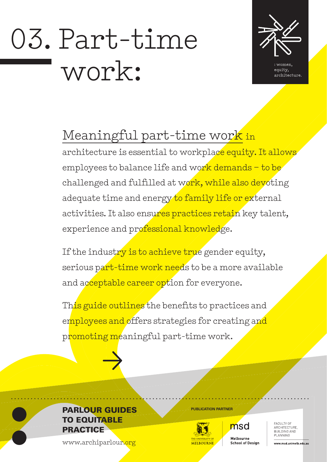# 03. Part-time work:



equity, architecture.

# Meaningful part-time work in

architecture is essential to workplace equity. It allows employees to balance life and work demands – to be challenged and fulfilled at work, while also devoting adequate time and energy to family life or external activities. It also ensures practices retain key talent, experience and professional knowledge.

If the industry is to achieve true gender equity, serious part-time work needs to be a more available and acceptable career option for everyone.

This guide outlines the benefits to practices and employees and offers strategies for creating and promoting meaningful part-time work.



# **PARLOUR GUIDES** TO EQUITABLE **PRACTICE**

www.archiparlour.org



msd Melbourne **School of Design** 

FACULTY OF ARCHITECTURE. BUILDING AND PLANNING

www.msd.unimelb.edu.au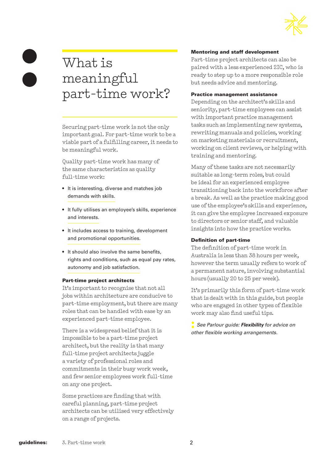

# What is meaningful part-time work?

Securing part-time work is not the only important goal. For part-time work to be a viable part of a fulfilling career, it needs to be meaningful work.

Quality part-time work has many of the same characteristics as quality full-time work:

- It is interesting, diverse and matches job demands with skills.
- It fully utilises an employee's skills, experience and interests.
- It includes access to training, development and promotional opportunities.
- It should also involve the same benefits, rights and conditions, such as equal pay rates, autonomy and job satisfaction.

#### Part-time project architects

It's important to recognise that not all jobs within architecture are conducive to part-time employment, but there are many roles that can be handled with ease by an experienced part-time employee.

There is a widespread belief that it is impossible to be a part-time project architect, but the reality is that many full-time project architects juggle a variety of professional roles and commitments in their busy work week, and few senior employees work full-time on any one project.

Some practices are finding that with careful planning, part-time project architects can be utilised very effectively on a range of projects.

#### Mentoring and staff development

Part-time project architects can also be paired with a less experienced 2IC, who is ready to step up to a more responsible role but needs advice and mentoring.

#### Practice management assistance

Depending on the architect's skills and seniority, part-time employees can assist with important practice management tasks such as implementing new systems, rewriting manuals and policies, working on marketing materials or recruitment, working on client reviews, or helping with training and mentoring.

Many of these tasks are not necessarily suitable as long-term roles, but could be ideal for an experienced employee transitioning back into the workforce after a break. As well as the practice making good use of the employee's skills and experience, it can give the employee increased exposure to directors or senior staff, and valuable insights into how the practice works.

#### Definition of part-time

The definition of part-time work in Australia is less than 38 hours per week, however the term usually refers to work of a permanent nature, involving substantial hours (usually 20 to 25 per week).

It's primarily this form of part-time work that is dealt with in this guide, but people who are engaged in other types of flexible work may also find useful tips.

**:** *See Parlour guide: Flexibility for advice on other flexible working arrangements.*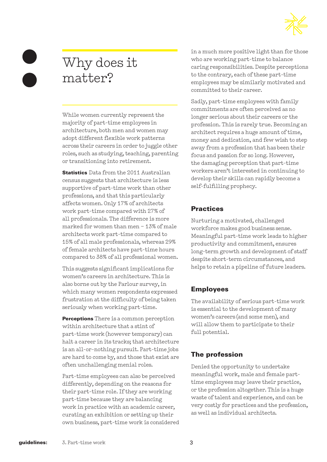

# Why does it matter?

While women currently represent the majority of part-time employees in architecture, both men and women may adopt different flexible work patterns across their careers in order to juggle other roles, such as studying, teaching, parenting or transitioning into retirement.

**Statistics** Data from the 2011 Australian census suggests that architecture is less supportive of part-time work than other professions, and that this particularly affects women. Only 17% of architects work part-time compared with 27% of all professionals. The difference is more marked for women than men – 13% of male architects work part-time compared to 15% of all male professionals, whereas 29% of female architects have part-time hours compared to 38% of all professional women.

This suggests significant implications for women's careers in architecture. This is also borne out by the Parlour survey, in which many women respondents expressed frustration at the difficulty of being taken seriously when working part-time.

**Perceptions** There is a common perception within architecture that a stint of part-time work (however temporary) can halt a career in its tracks; that architecture is an all-or-nothing pursuit. Part-time jobs are hard to come by, and those that exist are often unchallenging menial roles.

Part-time employees can also be perceived differently, depending on the reasons for their part-time role. If they are working part-time because they are balancing work in practice with an academic career, curating an exhibition or setting up their own business, part-time work is considered in a much more positive light than for those who are working part-time to balance caring responsibilities. Despite perceptions to the contrary, each of these part-time employees may be similarly motivated and committed to their career.

Sadly, part-time employees with family commitments are often perceived as no longer serious about their careers or the profession. This is rarely true. Becoming an architect requires a huge amount of time, money and dedication, and few wish to step away from a profession that has been their focus and passion for so long. However, the damaging perception that part-time workers aren't interested in continuing to develop their skills can rapidly become a self-fulfilling prophecy.

# **Practices**

Nurturing a motivated, challenged workforce makes good business sense. Meaningful part-time work leads to higher productivity and commitment, ensures long-term growth and development of staff despite short-term circumstances, and helps to retain a pipeline of future leaders.

# Employees

The availability of serious part-time work is essential to the development of many women's careers (and some men), and will allow them to participate to their full potential.

# The profession

Denied the opportunity to undertake meaningful work, male and female parttime employees may leave their practice, or the profession altogether. This is a huge waste of talent and experience, and can be very costly for practices and the profession, as well as individual architects.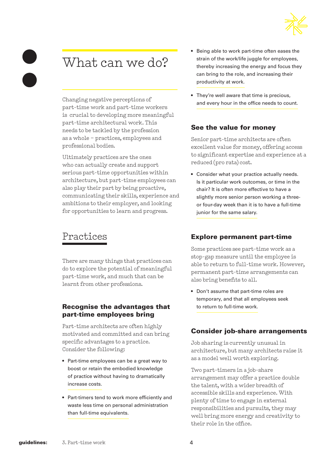

# What can we do?

Changing negative perceptions of part-time work and part-time workers is crucial to developing more meaningful part-time architectural work. This needs to be tackled by the profession as a whole – practices, employees and professional bodies.

Ultimately practices are the ones who can actually create and support serious part-time opportunities within architecture, but part-time employees can also play their part by being proactive, communicating their skills, experience and ambitions to their employer, and looking for opportunities to learn and progress.

# Practices

There are many things that practices can do to explore the potential of meaningful part-time work, and much that can be learnt from other professions.

#### Recognise the advantages that part-time employees bring

Part-time architects are often highly motivated and committed and can bring specific advantages to a practice. Consider the following:

- Part-time employees can be a great way to boost or retain the embodied knowledge of practice without having to dramatically increase costs.
- Part-timers tend to work more efficiently and waste less time on personal administration than full-time equivalents.
- Being able to work part-time often eases the strain of the work/life juggle for employees, thereby increasing the energy and focus they can bring to the role, and increasing their productivity at work.
- They're well aware that time is precious, and every hour in the office needs to count.

### See the value for money

Senior part-time architects are often excellent value for money, offering access to significant expertise and experience at a reduced (pro rata) cost.

• Consider what your practice actually needs. Is it particular work outcomes, or time in the chair? It is often more effective to have a slightly more senior person working a threeor four-day week than it is to have a full-time junior for the same salary.

# Explore permanent part-time

Some practices see part-time work as a stop-gap measure until the employee is able to return to full-time work. However, permanent part-time arrangements can also bring benefits to all.

• Don't assume that part-time roles are temporary, and that all employees seek to return to full-time work.

### Consider job-share arrangements

Job sharing is currently unusual in architecture, but many architects raise it as a model well worth exploring.

Two part-timers in a job-share arrangement may offer a practice double the talent, with a wider breadth of accessible skills and experience. With plenty of time to engage in external responsibilities and pursuits, they may well bring more energy and creativity to their role in the office.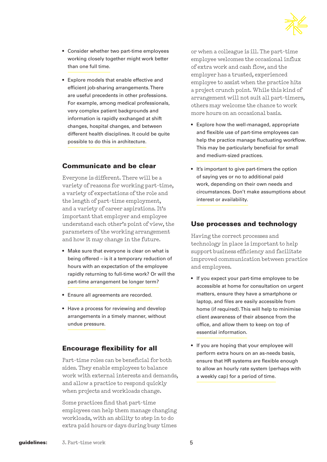

- Consider whether two part-time employees working closely together might work better than one full time.
- Explore models that enable effective and efficient job-sharing arrangements. There are useful precedents in other professions. For example, among medical professionals, very complex patient backgrounds and information is rapidly exchanged at shift changes, hospital changes, and between different health disciplines. It could be quite possible to do this in architecture.

### Communicate and be clear

Everyone is different. There will be a variety of reasons for working part-time, a variety of expectations of the role and the length of part-time employment, and a variety of career aspirations. It's important that employer and employee understand each other's point of view, the parameters of the working arrangement and how it may change in the future.

- Make sure that everyone is clear on what is being offered – is it a temporary reduction of hours with an expectation of the employee rapidly returning to full-time work? Or will the part-time arrangement be longer term?
- Ensure all agreements are recorded.
- Have a process for reviewing and develop arrangements in a timely manner, without undue pressure.

# Encourage flexibility for all

Part-time roles can be beneficial for both sides. They enable employees to balance work with external interests and demands, and allow a practice to respond quickly when projects and workloads change.

Some practices find that part-time employees can help them manage changing workloads, with an ability to step in to do extra paid hours or days during busy times

or when a colleague is ill. The part-time employee welcomes the occasional influx of extra work and cash flow, and the employer has a trusted, experienced employee to assist when the practice hits a project crunch point. While this kind of arrangement will not suit all part-timers, others may welcome the chance to work more hours on an occasional basis.

- Explore how the well-managed, appropriate and flexible use of part-time employees can help the practice manage fluctuating workflow. This may be particularly beneficial for small and medium-sized practices.
- It's important to give part-timers the option of saying yes or no to additional paid work, depending on their own needs and circumstances. Don't make assumptions about interest or availability.

### Use processes and technology

Having the correct processes and technology in place is important to help support business efficiency and facilitate improved communication between practice and employees.

- If you expect your part-time employee to be accessible at home for consultation on urgent matters, ensure they have a smartphone or laptop, and files are easily accessible from home (if required). This will help to minimise client awareness of their absence from the office, and allow them to keep on top of essential information.
- If you are hoping that your employee will perform extra hours on an as-needs basis, ensure that HR systems are flexible enough to allow an hourly rate system (perhaps with a weekly cap) for a period of time.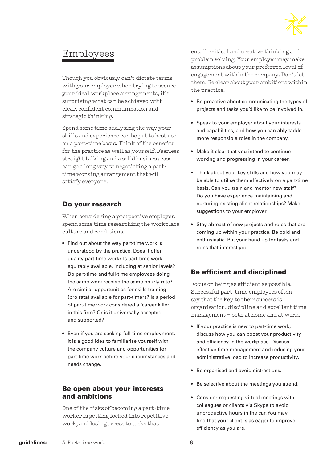

# Employees

Though you obviously can't dictate terms with your employer when trying to secure your ideal workplace arrangements, it's surprising what can be achieved with clear, confident communication and strategic thinking.

Spend some time analysing the way your skills and experience can be put to best use on a part-time basis. Think of the benefits for the practice as well as yourself. Fearless straight talking and a solid business case can go a long way to negotiating a parttime working arrangement that will satisfy everyone.

## Do your research

When considering a prospective employer, spend some time researching the workplace culture and conditions.

- Find out about the way part-time work is understood by the practice. Does it offer quality part-time work? Is part-time work equitably available, including at senior levels? Do part-time and full-time employees doing the same work receive the same hourly rate? Are similar opportunities for skills training (pro rata) available for part-timers? Is a period of part-time work considered a 'career killer' in this firm? Or is it universally accepted and supported?
- Even if you are seeking full-time employment, it is a good idea to familiarise yourself with the company culture and opportunities for part-time work before your circumstances and needs change.

#### Be open about your interests and ambitions

One of the risks of becoming a part-time worker is getting locked into repetitive work, and losing access to tasks that

entail critical and creative thinking and problem solving. Your employer may make assumptions about your preferred level of engagement within the company. Don't let them. Be clear about your ambitions within the practice.

- Be proactive about communicating the types of projects and tasks you'd like to be involved in.
- Speak to your employer about your interests and capabilities, and how you can ably tackle more responsible roles in the company.
- Make it clear that you intend to continue working and progressing in your career.
- Think about your key skills and how you may be able to utilise them effectively on a part-time basis. Can you train and mentor new staff? Do you have experience maintaining and nurturing existing client relationships? Make suggestions to your employer.
- Stay abreast of new projects and roles that are coming up within your practice. Be bold and enthusiastic. Put your hand up for tasks and roles that interest you.

# Be efficient and disciplined

Focus on being as efficient as possible. Successful part-time employees often say that the key to their success is organisation, discipline and excellent time management – both at home and at work.

- If your practice is new to part-time work, discuss how you can boost your productivity and efficiency in the workplace. Discuss effective time-management and reducing your administrative load to increase productivity.
- Be organised and avoid distractions.
- Be selective about the meetings you attend.
- Consider requesting virtual meetings with colleagues or clients via Skype to avoid unproductive hours in the car. You may find that your client is as eager to improve efficiency as you are.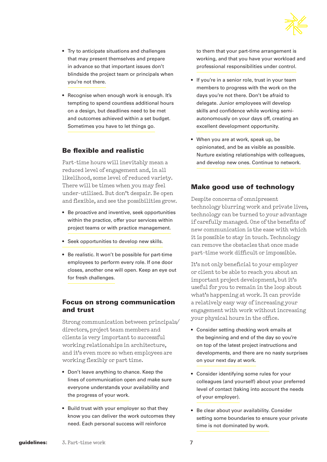

- Try to anticipate situations and challenges that may present themselves and prepare in advance so that important issues don't blindside the project team or principals when you're not there.
- Recognise when enough work is enough. It's tempting to spend countless additional hours on a design, but deadlines need to be met and outcomes achieved within a set budget. Sometimes you have to let things go.

#### Be flexible and realistic

Part-time hours will inevitably mean a reduced level of engagement and, in all likelihood, some level of reduced variety. There will be times when you may feel under-utilised. But don't despair. Be open and flexible, and see the possibilities grow.

- Be proactive and inventive, seek opportunities within the practice, offer your services within project teams or with practice management.
- Seek opportunities to develop new skills.
- Be realistic. It won't be possible for part-time employees to perform every role. If one door closes, another one will open. Keep an eye out for fresh challenges.

#### Focus on strong communication and trust

Strong communication between principals/ directors, project team members and clients is very important to successful working relationships in architecture, and it's even more so when employees are working flexibly or part time.

- Don't leave anything to chance. Keep the lines of communication open and make sure everyone understands your availability and the progress of your work.
- Build trust with your employer so that they know you can deliver the work outcomes they need. Each personal success will reinforce

to them that your part-time arrangement is working, and that you have your workload and professional responsibilities under control.

- If you're in a senior role, trust in your team members to progress with the work on the days you're not there. Don't be afraid to delegate. Junior employees will develop skills and confidence while working semiautonomously on your days off, creating an excellent development opportunity.
- When you are at work, speak up, be opinionated, and be as visible as possible. Nurture existing relationships with colleagues, and develop new ones. Continue to network.

### Make good use of technology

Despite concerns of omnipresent technology blurring work and private lives, technology can be turned to your advantage if carefully managed. One of the benefits of new communication is the ease with which it is possible to stay in touch. Technology can remove the obstacles that once made part-time work difficult or impossible.

It's not only beneficial to your employer or client to be able to reach you about an important project development, but it's useful for you to remain in the loop about what's happening at work. It can provide a relatively easy way of increasing your engagement with work without increasing your physical hours in the office.

- Consider setting checking work emails at the beginning and end of the day so you're on top of the latest project instructions and developments, and there are no nasty surprises on your next day at work.
- Consider identifying some rules for your colleagues (and yourself) about your preferred level of contact (taking into account the needs of your employer).
- Be clear about your availability. Consider setting some boundaries to ensure your private time is not dominated by work.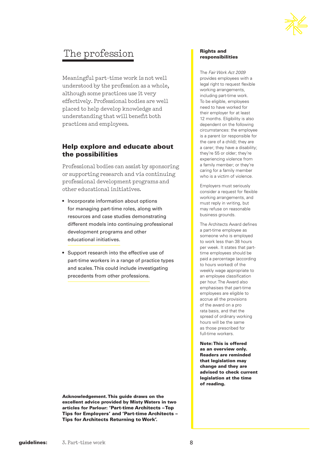

# The profession

Meaningful part-time work is not well understood by the profession as a whole, although some practices use it very effectively. Professional bodies are well placed to help develop knowledge and understanding that will benefit both practices and employees.

#### Help explore and educate about the possibilities

Professional bodies can assist by sponsoring or supporting research and via continuing professional development programs and other educational initiatives.

- Incorporate information about options for managing part-time roles, along with resources and case studies demonstrating different models into continuing professional development programs and other educational initiatives.
- Support research into the effective use of part-time workers in a range of practice types and scales. This could include investigating precedents from other professions.

Acknowledgement. This guide draws on the excellent advice provided by Misty Waters in two articles for Parlour: ['Part-time Architects – Top](http://www.archiparlour.org/part-time-architects-top-tips-for-employers/)  [Tips for Employers' and](http://www.archiparlour.org/part-time-architects-top-tips-for-employers/) ['Part-time Architects –](http://www.archiparlour.org/part-time-architects-tips-for-architects-returning-to-work/)  [Tips for Architects Returning to Work'.](http://www.archiparlour.org/part-time-architects-tips-for-architects-returning-to-work/)

#### Rights and responsibilities

The *Fair Work Act 2009* provides employees with a legal right to request flexible working arrangements, including part-time work. To be eligible, employees need to have worked for their employer for at least 12 months. Eligibility is also dependent on the following circumstances: the employee is a parent (or responsible for the care of a child); they are a carer; they have a disability; they're 55 or older; they're experiencing violence from a family member; or they're caring for a family member who is a victim of violence.

Employers must seriously consider a request for flexible working arrangements, and must reply in writing, but may refuse on reasonable business grounds.

The Architects Award defines a part-time employee as someone who is employed to work less than 38 hours per week. It states that parttime employees should be paid a percentage (according to hours worked) of the weekly wage appropriate to an employee classification per hour. The Award also emphasises that part-time employees are eligible to accrue all the provisions of the award on a pro rata basis, and that the spread of ordinary working hours will be the same as those prescribed for full-time workers.

Note: This is offered as an overview only. Readers are reminded that legislation may change and they are advised to check current legislation at the time of reading.